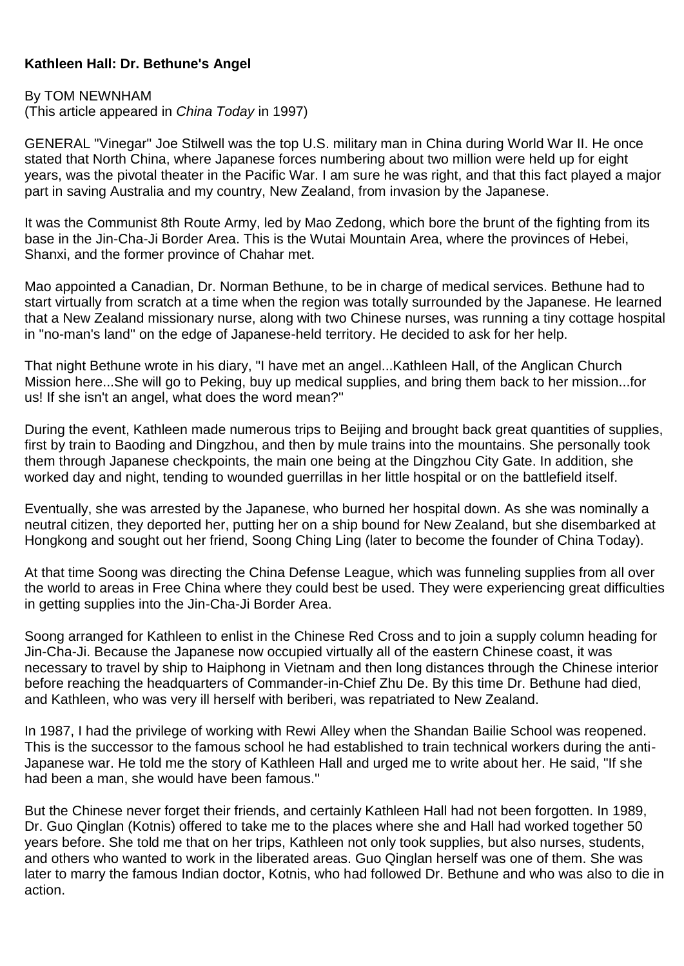## **Kathleen Hall: Dr. Bethune's Angel**

## By TOM NEWNHAM

(This article appeared in *China Today* in 1997)

GENERAL "Vinegar'' Joe Stilwell was the top U.S. military man in China during World War II. He once stated that North China, where Japanese forces numbering about two million were held up for eight years, was the pivotal theater in the Pacific War. I am sure he was right, and that this fact played a major part in saving Australia and my country, New Zealand, from invasion by the Japanese.

It was the Communist 8th Route Army, led by Mao Zedong, which bore the brunt of the fighting from its base in the Jin-Cha-Ji Border Area. This is the Wutai Mountain Area, where the provinces of Hebei, Shanxi, and the former province of Chahar met.

Mao appointed a Canadian, Dr. Norman Bethune, to be in charge of medical services. Bethune had to start virtually from scratch at a time when the region was totally surrounded by the Japanese. He learned that a New Zealand missionary nurse, along with two Chinese nurses, was running a tiny cottage hospital in "no-man's land'' on the edge of Japanese-held territory. He decided to ask for her help.

That night Bethune wrote in his diary, "I have met an angel...Kathleen Hall, of the Anglican Church Mission here...She will go to Peking, buy up medical supplies, and bring them back to her mission...for us! If she isn't an angel, what does the word mean?''

During the event, Kathleen made numerous trips to Beijing and brought back great quantities of supplies, first by train to Baoding and Dingzhou, and then by mule trains into the mountains. She personally took them through Japanese checkpoints, the main one being at the Dingzhou City Gate. In addition, she worked day and night, tending to wounded guerrillas in her little hospital or on the battlefield itself.

Eventually, she was arrested by the Japanese, who burned her hospital down. As she was nominally a neutral citizen, they deported her, putting her on a ship bound for New Zealand, but she disembarked at Hongkong and sought out her friend, Soong Ching Ling (later to become the founder of China Today).

At that time Soong was directing the China Defense League, which was funneling supplies from all over the world to areas in Free China where they could best be used. They were experiencing great difficulties in getting supplies into the Jin-Cha-Ji Border Area.

Soong arranged for Kathleen to enlist in the Chinese Red Cross and to join a supply column heading for Jin-Cha-Ji. Because the Japanese now occupied virtually all of the eastern Chinese coast, it was necessary to travel by ship to Haiphong in Vietnam and then long distances through the Chinese interior before reaching the headquarters of Commander-in-Chief Zhu De. By this time Dr. Bethune had died, and Kathleen, who was very ill herself with beriberi, was repatriated to New Zealand.

In 1987, I had the privilege of working with Rewi Alley when the Shandan Bailie School was reopened. This is the successor to the famous school he had established to train technical workers during the anti-Japanese war. He told me the story of Kathleen Hall and urged me to write about her. He said, "If she had been a man, she would have been famous.''

But the Chinese never forget their friends, and certainly Kathleen Hall had not been forgotten. In 1989, Dr. Guo Qinglan (Kotnis) offered to take me to the places where she and Hall had worked together 50 years before. She told me that on her trips, Kathleen not only took supplies, but also nurses, students, and others who wanted to work in the liberated areas. Guo Qinglan herself was one of them. She was later to marry the famous Indian doctor, Kotnis, who had followed Dr. Bethune and who was also to die in action.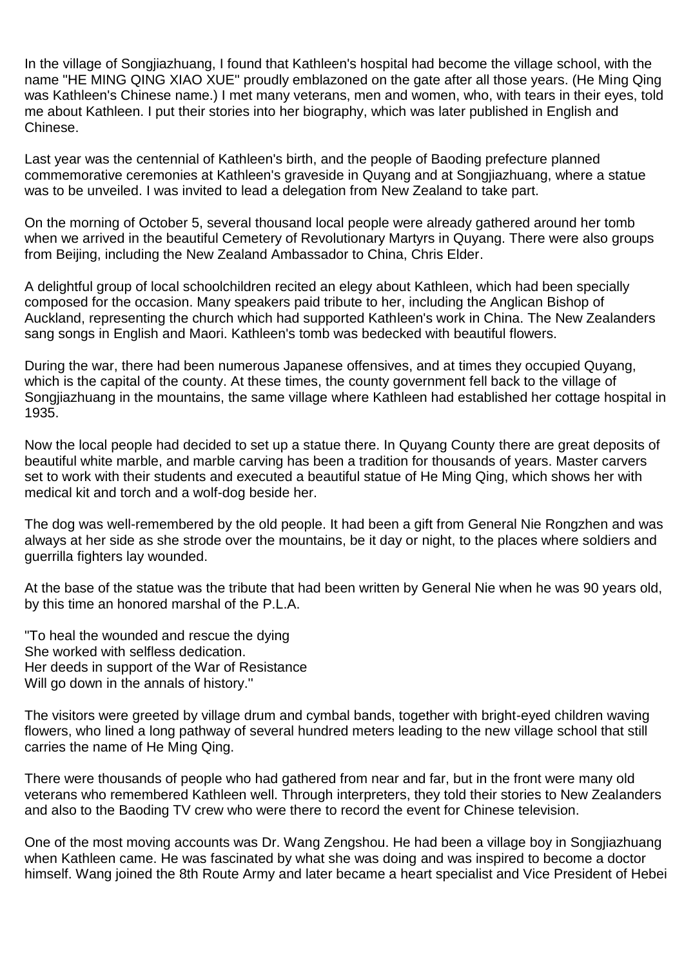In the village of Songjiazhuang, I found that Kathleen's hospital had become the village school, with the name "HE MING QING XIAO XUE'' proudly emblazoned on the gate after all those years. (He Ming Qing was Kathleen's Chinese name.) I met many veterans, men and women, who, with tears in their eyes, told me about Kathleen. I put their stories into her biography, which was later published in English and Chinese.

Last year was the centennial of Kathleen's birth, and the people of Baoding prefecture planned commemorative ceremonies at Kathleen's graveside in Quyang and at Songjiazhuang, where a statue was to be unveiled. I was invited to lead a delegation from New Zealand to take part.

On the morning of October 5, several thousand local people were already gathered around her tomb when we arrived in the beautiful Cemetery of Revolutionary Martyrs in Quyang. There were also groups from Beijing, including the New Zealand Ambassador to China, Chris Elder.

A delightful group of local schoolchildren recited an elegy about Kathleen, which had been specially composed for the occasion. Many speakers paid tribute to her, including the Anglican Bishop of Auckland, representing the church which had supported Kathleen's work in China. The New Zealanders sang songs in English and Maori. Kathleen's tomb was bedecked with beautiful flowers.

During the war, there had been numerous Japanese offensives, and at times they occupied Quyang, which is the capital of the county. At these times, the county government fell back to the village of Songjiazhuang in the mountains, the same village where Kathleen had established her cottage hospital in 1935.

Now the local people had decided to set up a statue there. In Quyang County there are great deposits of beautiful white marble, and marble carving has been a tradition for thousands of years. Master carvers set to work with their students and executed a beautiful statue of He Ming Qing, which shows her with medical kit and torch and a wolf-dog beside her.

The dog was well-remembered by the old people. It had been a gift from General Nie Rongzhen and was always at her side as she strode over the mountains, be it day or night, to the places where soldiers and guerrilla fighters lay wounded.

At the base of the statue was the tribute that had been written by General Nie when he was 90 years old, by this time an honored marshal of the P.L.A.

"To heal the wounded and rescue the dying She worked with selfless dedication. Her deeds in support of the War of Resistance Will go down in the annals of history.''

The visitors were greeted by village drum and cymbal bands, together with bright-eyed children waving flowers, who lined a long pathway of several hundred meters leading to the new village school that still carries the name of He Ming Qing.

There were thousands of people who had gathered from near and far, but in the front were many old veterans who remembered Kathleen well. Through interpreters, they told their stories to New Zealanders and also to the Baoding TV crew who were there to record the event for Chinese television.

One of the most moving accounts was Dr. Wang Zengshou. He had been a village boy in Songjiazhuang when Kathleen came. He was fascinated by what she was doing and was inspired to become a doctor himself. Wang joined the 8th Route Army and later became a heart specialist and Vice President of Hebei